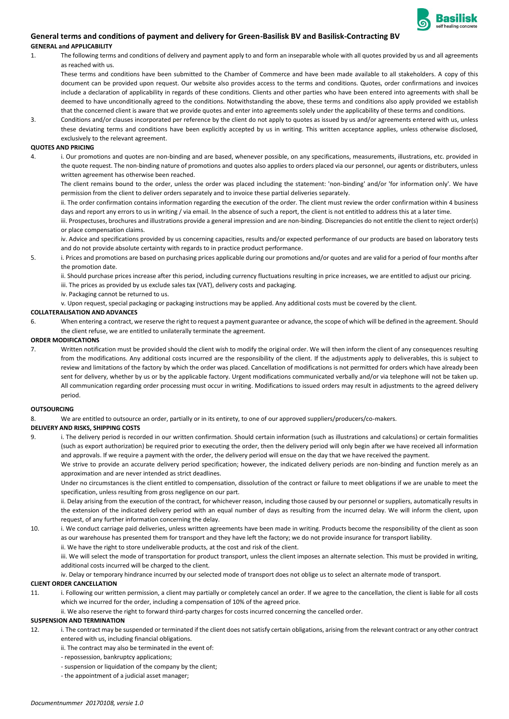

## **General terms and conditions of payment and delivery for Green-Basilisk BV and Basilisk-Contracting BV GENERAL and APPLICABILITY**

1. The following terms and conditions of delivery and payment apply to and form an inseparable whole with all quotes provided by us and all agreements as reached with us.

These terms and conditions have been submitted to the Chamber of Commerce and have been made available to all stakeholders. A copy of this document can be provided upon request. Our website also provides access to the terms and conditions. Quotes, order confirmations and invoices include a declaration of applicability in regards of these conditions. Clients and other parties who have been entered into agreements with shall be deemed to have unconditionally agreed to the conditions. Notwithstanding the above, these terms and conditions also apply provided we establish that the concerned client is aware that we provide quotes and enter into agreements solely under the applicability of these terms and conditions.

3. Conditions and/or clauses incorporated per reference by the client do not apply to quotes as issued by us and/or agreements entered with us, unless these deviating terms and conditions have been explicitly accepted by us in writing. This written acceptance applies, unless otherwise disclosed, exclusively to the relevant agreement.

### **QUOTES AND PRICING**

4. i. Our promotions and quotes are non-binding and are based, whenever possible, on any specifications, measurements, illustrations, etc. provided in the quote request. The non-binding nature of promotions and quotes also applies to orders placed via our personnel, our agents or distributers, unless written agreement has otherwise been reached.

The client remains bound to the order, unless the order was placed including the statement: 'non-binding' and/or 'for information only'. We have permission from the client to deliver orders separately and to invoice these partial deliveries separately.

ii. The order confirmation contains information regarding the execution of the order. The client must review the order confirmation within 4 business days and report any errors to us in writing / via email. In the absence of such a report, the client is not entitled to address this at a later time.

iii. Prospectuses, brochures and illustrations provide a general impression and are non-binding. Discrepancies do not entitle the client to reject order(s) or place compensation claims.

iv. Advice and specifications provided by us concerning capacities, results and/or expected performance of our products are based on laboratory tests and do not provide absolute certainty with regards to in practice product performance.

5. i. Prices and promotions are based on purchasing prices applicable during our promotions and/or quotes and are valid for a period of four months after the promotion date.

ii. Should purchase prices increase after this period, including currency fluctuations resulting in price increases, we are entitled to adjust our pricing. iii. The prices as provided by us exclude sales tax (VAT), delivery costs and packaging.

iv. Packaging cannot be returned to us.

v. Upon request, special packaging or packaging instructions may be applied. Any additional costs must be covered by the client.

### **COLLATERALISATION AND ADVANCES**

6. When entering a contract, we reserve the right to request a payment guarantee or advance, the scope of which will be defined in the agreement. Should the client refuse, we are entitled to unilaterally terminate the agreement.

## **ORDER MODIFICATIONS**

7. Written notification must be provided should the client wish to modify the original order. We will then inform the client of any consequences resulting from the modifications. Any additional costs incurred are the responsibility of the client. If the adjustments apply to deliverables, this is subject to review and limitations of the factory by which the order was placed. Cancellation of modifications is not permitted for orders which have already been sent for delivery, whether by us or by the applicable factory. Urgent modifications communicated verbally and/or via telephone will not be taken up. All communication regarding order processing must occur in writing. Modifications to issued orders may result in adjustments to the agreed delivery period.

## **OUTSOURCING**

8. We are entitled to outsource an order, partially or in its entirety, to one of our approved suppliers/producers/co-makers.

## **DELIVERY AND RISKS, SHIPPING COSTS**

9. i. The delivery period is recorded in our written confirmation. Should certain information (such as illustrations and calculations) or certain formalities (such as export authorization) be required prior to executing the order, then the delivery period will only begin after we have received all information and approvals. If we require a payment with the order, the delivery period will ensue on the day that we have received the payment.

We strive to provide an accurate delivery period specification; however, the indicated delivery periods are non-binding and function merely as an approximation and are never intended as strict deadlines.

Under no circumstances is the client entitled to compensation, dissolution of the contract or failure to meet obligations if we are unable to meet the specification, unless resulting from gross negligence on our part.

ii. Delay arising from the execution of the contract, for whichever reason, including those caused by our personnel or suppliers, automatically results in the extension of the indicated delivery period with an equal number of days as resulting from the incurred delay. We will inform the client, upon request, of any further information concerning the delay.

10. i. We conduct carriage paid deliveries, unless written agreements have been made in writing. Products become the responsibility of the client as soon as our warehouse has presented them for transport and they have left the factory; we do not provide insurance for transport liability.

ii. We have the right to store undeliverable products, at the cost and risk of the client.

iii. We will select the mode of transportation for product transport, unless the client imposes an alternate selection. This must be provided in writing, additional costs incurred will be charged to the client.

iv. Delay or temporary hindrance incurred by our selected mode of transport does not oblige us to select an alternate mode of transport.

# **CLIENT ORDER CANCELLATION**

11. i. Following our written permission, a client may partially or completely cancel an order. If we agree to the cancellation, the client is liable for all costs which we incurred for the order, including a compensation of 10% of the agreed price.

ii. We also reserve the right to forward third-party charges for costs incurred concerning the cancelled order.

#### **SUSPENSION AND TERMINATION**

- 12. i. The contract may be suspended or terminated if the client does not satisfy certain obligations, arising from the relevant contract or any other contract entered with us, including financial obligations.
	- ii. The contract may also be terminated in the event of:
	- repossession, bankruptcy applications;
	- suspension or liquidation of the company by the client;
	- the appointment of a judicial asset manager;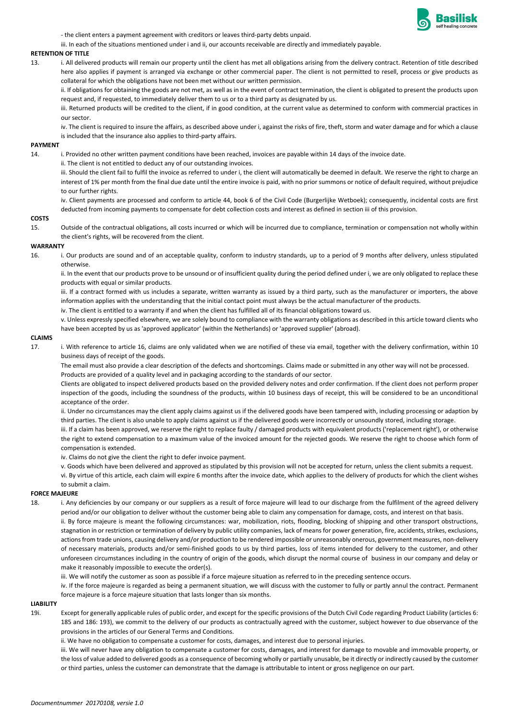

- the client enters a payment agreement with creditors or leaves third-party debts unpaid.

iii. In each of the situations mentioned under i and ii, our accounts receivable are directly and immediately payable.

## **RETENTION OF TITLE**

13. i. All delivered products will remain our property until the client has met all obligations arising from the delivery contract. Retention of title described here also applies if payment is arranged via exchange or other commercial paper. The client is not permitted to resell, process or give products as collateral for which the obligations have not been met without our written permission.

ii. If obligations for obtaining the goods are not met, as well as in the event of contract termination, the client is obligated to present the products upon request and, if requested, to immediately deliver them to us or to a third party as designated by us.

iii. Returned products will be credited to the client, if in good condition, at the current value as determined to conform with commercial practices in our sector.

iv. The client is required to insure the affairs, as described above under i, against the risks of fire, theft, storm and water damage and for which a clause is included that the insurance also applies to third-party affairs.

#### **PAYMENT**

14. i. Provided no other written payment conditions have been reached, invoices are payable within 14 days of the invoice date.

ii. The client is not entitled to deduct any of our outstanding invoices.

iii. Should the client fail to fulfil the invoice as referred to under i, the client will automatically be deemed in default. We reserve the right to charge an interest of 1% per month from the final due date until the entire invoice is paid, with no prior summons or notice of default required, without prejudice to our further rights.

iv. Client payments are processed and conform to article 44, book 6 of the Civil Code (Burgerlijke Wetboek); consequently, incidental costs are first deducted from incoming payments to compensate for debt collection costs and interest as defined in section iii of this provision.

# **COSTS**

15. Outside of the contractual obligations, all costs incurred or which will be incurred due to compliance, termination or compensation not wholly within the client's rights, will be recovered from the client.

### **WARRANTY**

16. i. Our products are sound and of an acceptable quality, conform to industry standards, up to a period of 9 months after delivery, unless stipulated otherwise.

ii. In the event that our products prove to be unsound or of insufficient quality during the period defined under i, we are only obligated to replace these products with equal or similar products.

iii. If a contract formed with us includes a separate, written warranty as issued by a third party, such as the manufacturer or importers, the above information applies with the understanding that the initial contact point must always be the actual manufacturer of the products.

iv. The client is entitled to a warranty if and when the client has fulfilled all of its financial obligations toward us.

v. Unless expressly specified elsewhere, we are solely bound to compliance with the warranty obligations as described in this article toward clients who have been accepted by us as 'approved applicator' (within the Netherlands) or 'approved supplier' (abroad).

## **CLAIMS**

17. i. With reference to article 16, claims are only validated when we are notified of these via email, together with the delivery confirmation, within 10 business days of receipt of the goods.

The email must also provide a clear description of the defects and shortcomings. Claims made or submitted in any other way will not be processed. Products are provided of a quality level and in packaging according to the standards of our sector.

Clients are obligated to inspect delivered products based on the provided delivery notes and order confirmation. If the client does not perform proper inspection of the goods, including the soundness of the products, within 10 business days of receipt, this will be considered to be an unconditional acceptance of the order.

ii. Under no circumstances may the client apply claims against us if the delivered goods have been tampered with, including processing or adaption by third parties. The client is also unable to apply claims against us if the delivered goods were incorrectly or unsoundly stored, including storage.

iii. If a claim has been approved, we reserve the right to replace faulty / damaged products with equivalent products ('replacement right'), or otherwise the right to extend compensation to a maximum value of the invoiced amount for the rejected goods. We reserve the right to choose which form of compensation is extended.

iv. Claims do not give the client the right to defer invoice payment.

v. Goods which have been delivered and approved as stipulated by this provision will not be accepted for return, unless the client submits a request.

vi. By virtue of this article, each claim will expire 6 months after the invoice date, which applies to the delivery of products for which the client wishes to submit a claim.

### **FORCE MAJEURE**

18. i. Any deficiencies by our company or our suppliers as a result of force majeure will lead to our discharge from the fulfilment of the agreed delivery period and/or our obligation to deliver without the customer being able to claim any compensation for damage, costs, and interest on that basis.

ii. By force majeure is meant the following circumstances: war, mobilization, riots, flooding, blocking of shipping and other transport obstructions, stagnation in or restriction or termination of delivery by public utility companies, lack of means for power generation, fire, accidents, strikes, exclusions, actions from trade unions, causing delivery and/or production to be rendered impossible or unreasonably onerous, government measures, non-delivery of necessary materials, products and/or semi-finished goods to us by third parties, loss of items intended for delivery to the customer, and other unforeseen circumstances including in the country of origin of the goods, which disrupt the normal course of business in our company and delay or make it reasonably impossible to execute the order(s).

iii. We will notify the customer as soon as possible if a force majeure situation as referred to in the preceding sentence occurs.

iv. If the force majeure is regarded as being a permanent situation, we will discuss with the customer to fully or partly annul the contract. Permanent force majeure is a force majeure situation that lasts longer than six months.

#### **LIABILITY**

19i. Except for generally applicable rules of public order, and except for the specific provisions of the Dutch Civil Code regarding Product Liability (articles 6: 185 and 186: 193), we commit to the delivery of our products as contractually agreed with the customer, subject however to due observance of the provisions in the articles of our General Terms and Conditions.

ii. We have no obligation to compensate a customer for costs, damages, and interest due to personal injuries.

iii. We will never have any obligation to compensate a customer for costs, damages, and interest for damage to movable and immovable property, or the loss of value added to delivered goods as a consequence of becoming wholly or partially unusable, be it directly or indirectly caused by the customer or third parties, unless the customer can demonstrate that the damage is attributable to intent or gross negligence on our part.